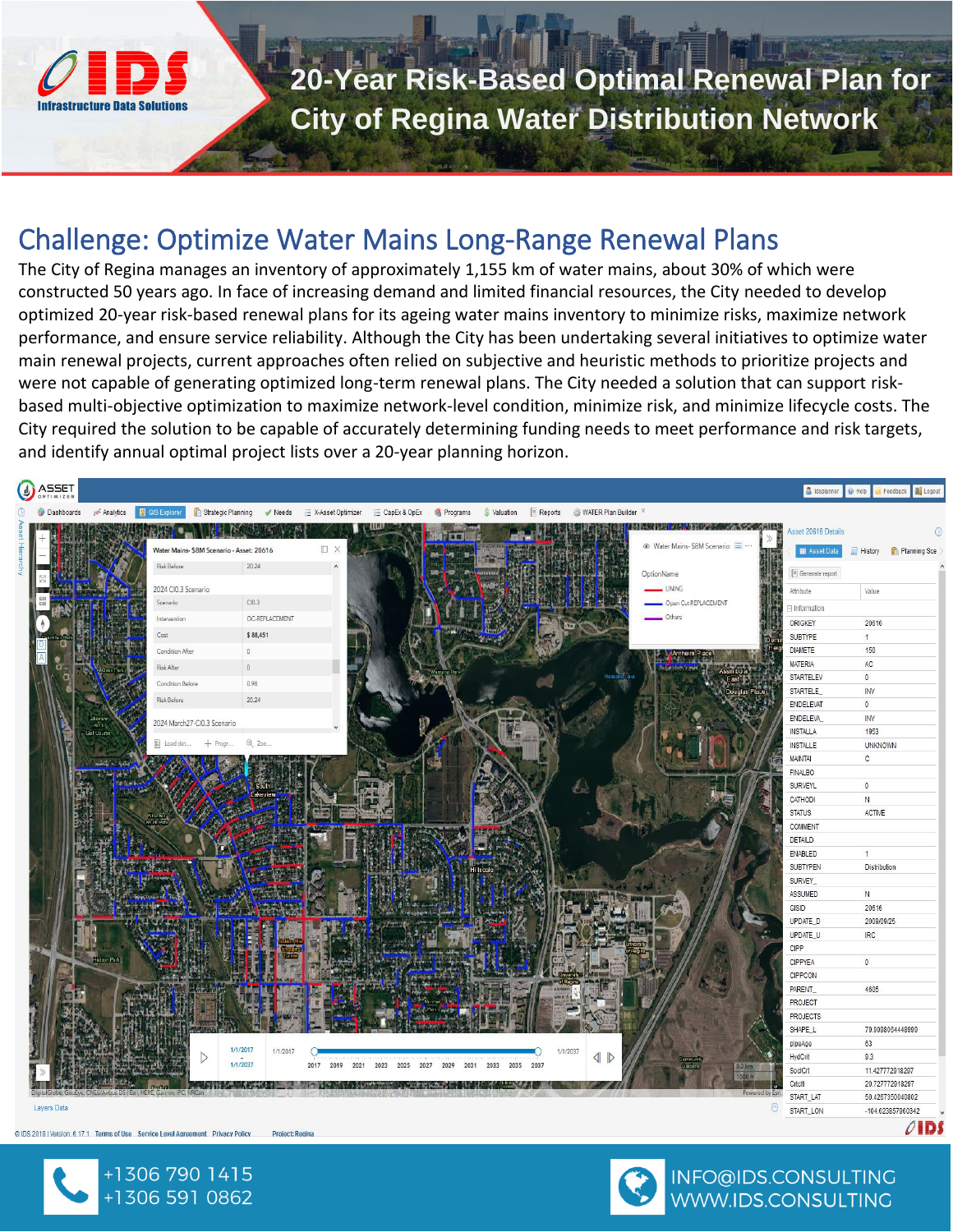

# **20-Year Risk-Based Optimal Renewal Plan for City of Regina Water Distribution Network**

#### Challenge: Optimize Water Mains Long-Range Renewal Plans

The City of Regina manages an inventory of approximately 1,155 km of water mains, about 30% of which were constructed 50 years ago. In face of increasing demand and limited financial resources, the City needed to develop optimized 20-year risk-based renewal plans for its ageing water mains inventory to minimize risks, maximize network performance, and ensure service reliability. Although the City has been undertaking several initiatives to optimize water main renewal projects, current approaches often relied on subjective and heuristic methods to prioritize projects and were not capable of generating optimized long-term renewal plans. The City needed a solution that can support riskbased multi-objective optimization to maximize network-level condition, minimize risk, and minimize lifecycle costs. The City required the solution to be capable of accurately determining funding needs to meet performance and risk targets, and identify annual optimal project lists over a 20-year planning horizon.



@IDS 2019 | Version: 6.17.1 Terms of Use Service Level Agreement Privacy Policy